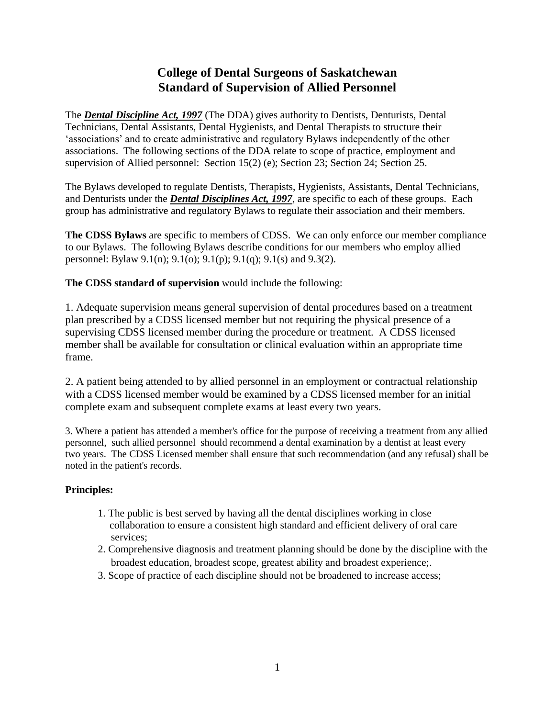### **College of Dental Surgeons of Saskatchewan Standard of Supervision of Allied Personnel**

The *Dental Discipline Act, 1997* (The DDA) gives authority to Dentists, Denturists, Dental Technicians, Dental Assistants, Dental Hygienists, and Dental Therapists to structure their 'associations' and to create administrative and regulatory Bylaws independently of the other associations. The following sections of the DDA relate to scope of practice, employment and supervision of Allied personnel: Section 15(2) (e); Section 23; Section 24; Section 25.

The Bylaws developed to regulate Dentists, Therapists, Hygienists, Assistants, Dental Technicians, and Denturists under the *Dental Disciplines Act, 1997*, are specific to each of these groups. Each group has administrative and regulatory Bylaws to regulate their association and their members.

**The CDSS Bylaws** are specific to members of CDSS. We can only enforce our member compliance to our Bylaws. The following Bylaws describe conditions for our members who employ allied personnel: Bylaw 9.1(n); 9.1(o); 9.1(p); 9.1(q); 9.1(s) and 9.3(2).

**The CDSS standard of supervision** would include the following:

1. Adequate supervision means general supervision of dental procedures based on a treatment plan prescribed by a CDSS licensed member but not requiring the physical presence of a supervising CDSS licensed member during the procedure or treatment. A CDSS licensed member shall be available for consultation or clinical evaluation within an appropriate time frame.

2. A patient being attended to by allied personnel in an employment or contractual relationship with a CDSS licensed member would be examined by a CDSS licensed member for an initial complete exam and subsequent complete exams at least every two years.

3. Where a patient has attended a member's office for the purpose of receiving a treatment from any allied personnel, such allied personnel should recommend a dental examination by a dentist at least every two years. The CDSS Licensed member shall ensure that such recommendation (and any refusal) shall be noted in the patient's records.

#### **Principles:**

- 1. The public is best served by having all the dental disciplines working in close collaboration to ensure a consistent high standard and efficient delivery of oral care services;
- 2. Comprehensive diagnosis and treatment planning should be done by the discipline with the broadest education, broadest scope, greatest ability and broadest experience;.
- 3. Scope of practice of each discipline should not be broadened to increase access;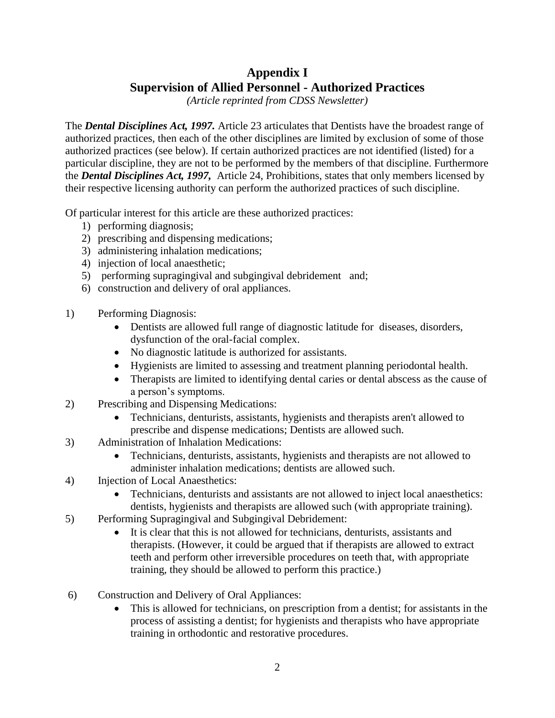# **Appendix I Supervision of Allied Personnel - Authorized Practices**

*(Article reprinted from CDSS Newsletter)*

The *Dental Disciplines Act, 1997.* Article 23 articulates that Dentists have the broadest range of authorized practices, then each of the other disciplines are limited by exclusion of some of those authorized practices (see below). If certain authorized practices are not identified (listed) for a particular discipline, they are not to be performed by the members of that discipline. Furthermore the *Dental Disciplines Act, 1997,* Article 24, Prohibitions, states that only members licensed by their respective licensing authority can perform the authorized practices of such discipline.

Of particular interest for this article are these authorized practices:

- 1) performing diagnosis;
- 2) prescribing and dispensing medications;
- 3) administering inhalation medications;
- 4) injection of local anaesthetic;
- 5) performing supragingival and subgingival debridement and;
- 6) construction and delivery of oral appliances.
- 1) Performing Diagnosis:
	- Dentists are allowed full range of diagnostic latitude for diseases, disorders, dysfunction of the oral-facial complex.
	- No diagnostic latitude is authorized for assistants.
	- Hygienists are limited to assessing and treatment planning periodontal health.
	- Therapists are limited to identifying dental caries or dental abscess as the cause of a person's symptoms.
- 2) Prescribing and Dispensing Medications:
	- Technicians, denturists, assistants, hygienists and therapists aren't allowed to prescribe and dispense medications; Dentists are allowed such.
- 3) Administration of Inhalation Medications:
	- Technicians, denturists, assistants, hygienists and therapists are not allowed to administer inhalation medications; dentists are allowed such.
- 4) Injection of Local Anaesthetics:
	- Technicians, denturists and assistants are not allowed to inject local anaesthetics: dentists, hygienists and therapists are allowed such (with appropriate training).
- 5) Performing Supragingival and Subgingival Debridement:
	- It is clear that this is not allowed for technicians, denturists, assistants and therapists. (However, it could be argued that if therapists are allowed to extract teeth and perform other irreversible procedures on teeth that, with appropriate training, they should be allowed to perform this practice.)
- 6) Construction and Delivery of Oral Appliances:
	- This is allowed for technicians, on prescription from a dentist; for assistants in the process of assisting a dentist; for hygienists and therapists who have appropriate training in orthodontic and restorative procedures.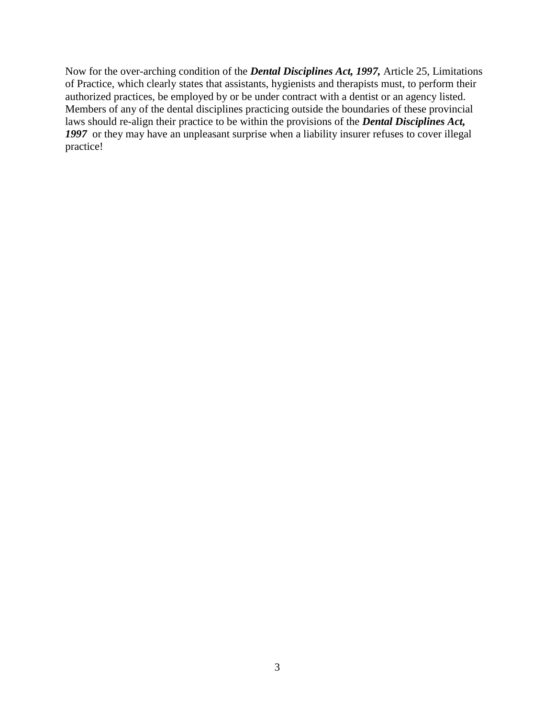Now for the over-arching condition of the *Dental Disciplines Act, 1997,* Article 25, Limitations of Practice, which clearly states that assistants, hygienists and therapists must, to perform their authorized practices, be employed by or be under contract with a dentist or an agency listed. Members of any of the dental disciplines practicing outside the boundaries of these provincial laws should re-align their practice to be within the provisions of the *Dental Disciplines Act,*  1997 or they may have an unpleasant surprise when a liability insurer refuses to cover illegal practice!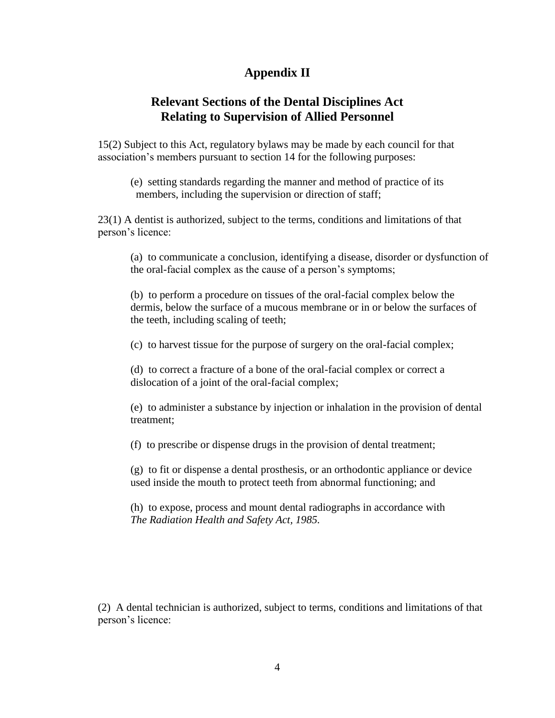### **Appendix II**

#### **Relevant Sections of the Dental Disciplines Act Relating to Supervision of Allied Personnel**

15(2) Subject to this Act, regulatory bylaws may be made by each council for that association's members pursuant to section 14 for the following purposes:

(e) setting standards regarding the manner and method of practice of its members, including the supervision or direction of staff;

23(1) A dentist is authorized, subject to the terms, conditions and limitations of that person's licence:

(a) to communicate a conclusion, identifying a disease, disorder or dysfunction of the oral-facial complex as the cause of a person's symptoms;

(b) to perform a procedure on tissues of the oral-facial complex below the dermis, below the surface of a mucous membrane or in or below the surfaces of the teeth, including scaling of teeth;

(c) to harvest tissue for the purpose of surgery on the oral-facial complex;

(d) to correct a fracture of a bone of the oral-facial complex or correct a dislocation of a joint of the oral-facial complex;

(e) to administer a substance by injection or inhalation in the provision of dental treatment;

(f) to prescribe or dispense drugs in the provision of dental treatment;

(g) to fit or dispense a dental prosthesis, or an orthodontic appliance or device used inside the mouth to protect teeth from abnormal functioning; and

(h) to expose, process and mount dental radiographs in accordance with *The Radiation Health and Safety Act, 1985.*

(2) A dental technician is authorized, subject to terms, conditions and limitations of that person's licence: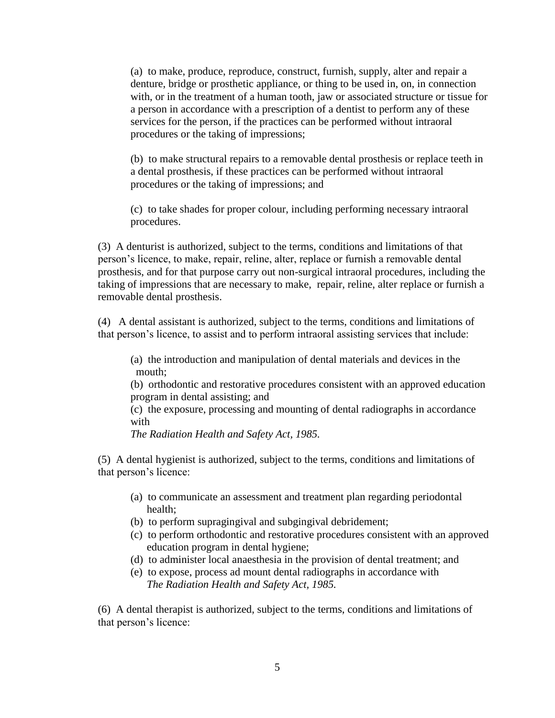(a) to make, produce, reproduce, construct, furnish, supply, alter and repair a denture, bridge or prosthetic appliance, or thing to be used in, on, in connection with, or in the treatment of a human tooth, jaw or associated structure or tissue for a person in accordance with a prescription of a dentist to perform any of these services for the person, if the practices can be performed without intraoral procedures or the taking of impressions;

(b) to make structural repairs to a removable dental prosthesis or replace teeth in a dental prosthesis, if these practices can be performed without intraoral procedures or the taking of impressions; and

(c) to take shades for proper colour, including performing necessary intraoral procedures.

(3) A denturist is authorized, subject to the terms, conditions and limitations of that person's licence, to make, repair, reline, alter, replace or furnish a removable dental prosthesis, and for that purpose carry out non-surgical intraoral procedures, including the taking of impressions that are necessary to make, repair, reline, alter replace or furnish a removable dental prosthesis.

(4) A dental assistant is authorized, subject to the terms, conditions and limitations of that person's licence, to assist and to perform intraoral assisting services that include:

(a) the introduction and manipulation of dental materials and devices in the mouth;

(b) orthodontic and restorative procedures consistent with an approved education program in dental assisting; and

(c) the exposure, processing and mounting of dental radiographs in accordance with

*The Radiation Health and Safety Act, 1985.*

(5) A dental hygienist is authorized, subject to the terms, conditions and limitations of that person's licence:

- (a) to communicate an assessment and treatment plan regarding periodontal health;
- (b) to perform supragingival and subgingival debridement;
- (c) to perform orthodontic and restorative procedures consistent with an approved education program in dental hygiene;
- (d) to administer local anaesthesia in the provision of dental treatment; and
- (e) to expose, process ad mount dental radiographs in accordance with  *The Radiation Health and Safety Act, 1985.*

(6) A dental therapist is authorized, subject to the terms, conditions and limitations of that person's licence: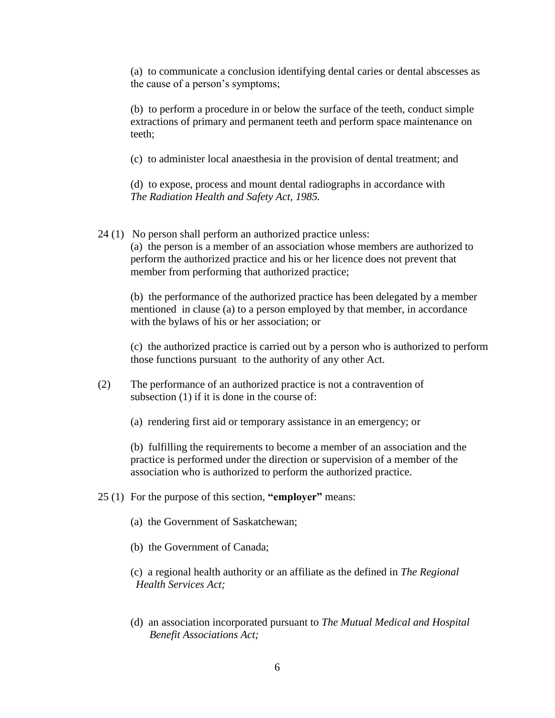(a) to communicate a conclusion identifying dental caries or dental abscesses as the cause of a person's symptoms;

(b) to perform a procedure in or below the surface of the teeth, conduct simple extractions of primary and permanent teeth and perform space maintenance on teeth;

(c) to administer local anaesthesia in the provision of dental treatment; and

(d) to expose, process and mount dental radiographs in accordance with *The Radiation Health and Safety Act, 1985.*

24 (1) No person shall perform an authorized practice unless:

(a) the person is a member of an association whose members are authorized to perform the authorized practice and his or her licence does not prevent that member from performing that authorized practice;

(b) the performance of the authorized practice has been delegated by a member mentioned in clause (a) to a person employed by that member, in accordance with the bylaws of his or her association; or

(c) the authorized practice is carried out by a person who is authorized to perform those functions pursuant to the authority of any other Act.

- (2) The performance of an authorized practice is not a contravention of subsection (1) if it is done in the course of:
	- (a) rendering first aid or temporary assistance in an emergency; or

(b) fulfilling the requirements to become a member of an association and the practice is performed under the direction or supervision of a member of the association who is authorized to perform the authorized practice.

- 25 (1) For the purpose of this section, **"employer"** means:
	- (a) the Government of Saskatchewan;
	- (b) the Government of Canada;
	- (c) a regional health authority or an affiliate as the defined in *The Regional Health Services Act;*
	- (d) an association incorporated pursuant to *The Mutual Medical and Hospital Benefit Associations Act;*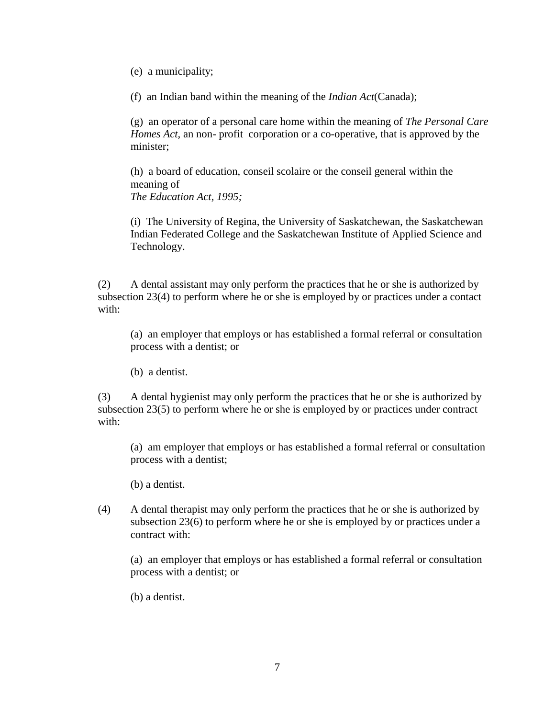(e) a municipality;

(f) an Indian band within the meaning of the *Indian Act*(Canada);

(g) an operator of a personal care home within the meaning of *The Personal Care Homes Act,* an non- profit corporation or a co-operative, that is approved by the minister;

(h) a board of education, conseil scolaire or the conseil general within the meaning of *The Education Act, 1995;*

(i) The University of Regina, the University of Saskatchewan, the Saskatchewan Indian Federated College and the Saskatchewan Institute of Applied Science and Technology.

(2) A dental assistant may only perform the practices that he or she is authorized by subsection 23(4) to perform where he or she is employed by or practices under a contact with:

(a) an employer that employs or has established a formal referral or consultation process with a dentist; or

(b) a dentist.

(3) A dental hygienist may only perform the practices that he or she is authorized by subsection 23(5) to perform where he or she is employed by or practices under contract with:

(a) am employer that employs or has established a formal referral or consultation process with a dentist;

(b) a dentist.

(4) A dental therapist may only perform the practices that he or she is authorized by subsection 23(6) to perform where he or she is employed by or practices under a contract with:

(a) an employer that employs or has established a formal referral or consultation process with a dentist; or

(b) a dentist.